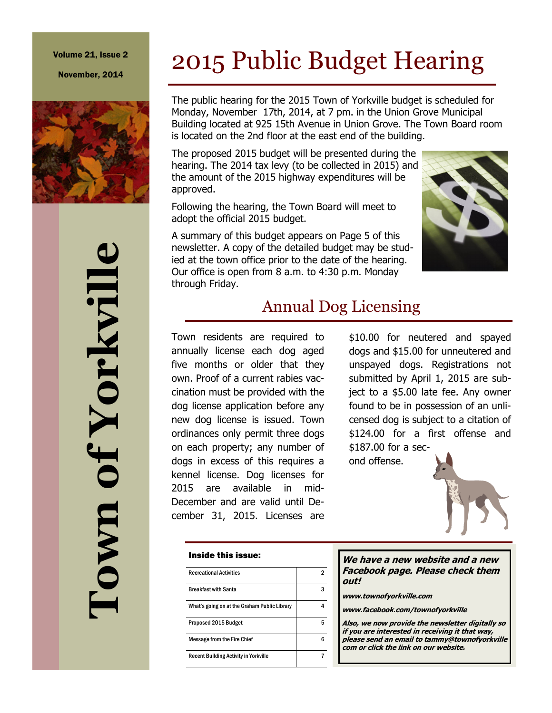#### Volume 21, Issue 2

November, 2014



# 2015 Public Budget Hearing

The public hearing for the 2015 Town of Yorkville budget is scheduled for Monday, November 17th, 2014, at 7 pm. in the Union Grove Municipal Building located at 925 15th Avenue in Union Grove. The Town Board room is located on the 2nd floor at the east end of the building.

The proposed 2015 budget will be presented during the hearing. The 2014 tax levy (to be collected in 2015) and the amount of the 2015 highway expenditures will be approved.

Following the hearing, the Town Board will meet to adopt the official 2015 budget.

A summary of this budget appears on Page 5 of this newsletter. A copy of the detailed budget may be studied at the town office prior to the date of the hearing. Our office is open from 8 a.m. to 4:30 p.m. Monday through Friday.



### Annual Dog Licensing

Town residents are required to annually license each dog aged five months or older that they own. Proof of a current rabies vaccination must be provided with the dog license application before any new dog license is issued. Town ordinances only permit three dogs on each property; any number of dogs in excess of this requires a kennel license. Dog licenses for 2015 are available in mid-December and are valid until December 31, 2015. Licenses are

#### Inside this issue:

| <b>Recreational Activities</b>               | 2 |
|----------------------------------------------|---|
| <b>Breakfast with Santa</b>                  | 3 |
| What's going on at the Graham Public Library |   |
| Proposed 2015 Budget                         | 5 |
| <b>Message from the Fire Chief</b>           |   |
| <b>Recent Building Activity in Yorkville</b> |   |

\$10.00 for neutered and spayed dogs and \$15.00 for unneutered and unspayed dogs. Registrations not submitted by April 1, 2015 are subject to a \$5.00 late fee. Any owner found to be in possession of an unlicensed dog is subject to a citation of \$124.00 for a first offense and \$187.00 for a sec-

ond offense.

#### **We have a new website and a new Facebook page. Please check them out!**

**www.townofyorkville.com**

**www.facebook.com/townofyorkville**

**Also, we now provide the newsletter digitally so if you are interested in receiving it that way, please send an email to tammy@townofyorkville com or click the link on our website.**

**Town of Yorkville** of Yorkvill **Lown**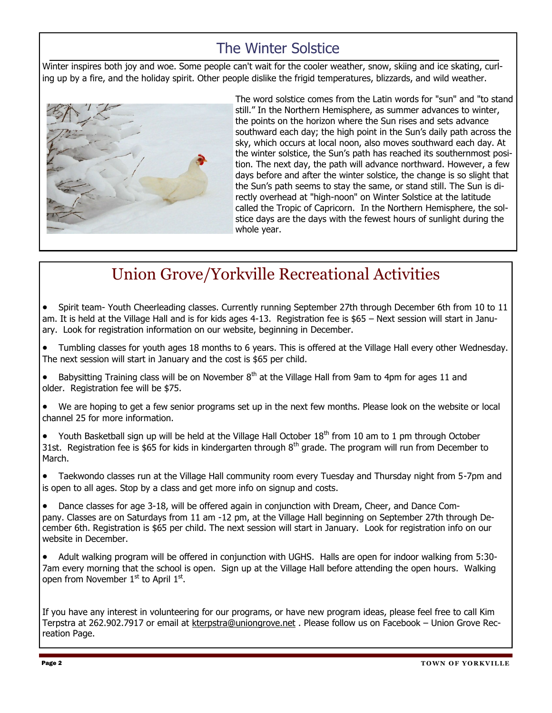### The Winter Solstice

Winter inspires both joy and woe. Some people can't wait for the cooler weather, snow, skiing and ice skating, curling up by a fire, and the holiday spirit. Other people dislike the frigid temperatures, blizzards, and wild weather.



The word solstice comes from the Latin words for "sun" and "to stand still." In the Northern Hemisphere, as summer advances to winter, the points on the horizon where the Sun rises and sets advance southward each day; the high point in the Sun's daily path across the sky, which occurs at local noon, also moves southward each day. At the winter solstice, the Sun's path has reached its southernmost position. The next day, the path will advance northward. However, a few days before and after the winter solstice, the change is so slight that the Sun's path seems to stay the same, or stand still. The Sun is directly overhead at "high-noon" on Winter Solstice at the latitude called the Tropic of Capricorn. In the Northern Hemisphere, the solstice days are the days with the fewest hours of sunlight during the whole year.

### Union Grove/Yorkville Recreational Activities

• Spirit team- Youth Cheerleading classes. Currently running September 27th through December 6th from 10 to 11 am. It is held at the Village Hall and is for kids ages 4-13. Registration fee is \$65 – Next session will start in January. Look for registration information on our website, beginning in December.

 Tumbling classes for youth ages 18 months to 6 years. This is offered at the Village Hall every other Wednesday. The next session will start in January and the cost is \$65 per child.

Babysitting Training class will be on November  $8<sup>th</sup>$  at the Village Hall from 9am to 4pm for ages 11 and older. Registration fee will be \$75.

 We are hoping to get a few senior programs set up in the next few months. Please look on the website or local channel 25 for more information.

• Youth Basketball sign up will be held at the Village Hall October 18<sup>th</sup> from 10 am to 1 pm through October 31st. Registration fee is \$65 for kids in kindergarten through  $8<sup>th</sup>$  grade. The program will run from December to March.

 Taekwondo classes run at the Village Hall community room every Tuesday and Thursday night from 5-7pm and is open to all ages. Stop by a class and get more info on signup and costs.

 Dance classes for age 3-18, will be offered again in conjunction with Dream, Cheer, and Dance Company. Classes are on Saturdays from 11 am -12 pm, at the Village Hall beginning on September 27th through December 6th. Registration is \$65 per child. The next session will start in January. Look for registration info on our website in December.

 Adult walking program will be offered in conjunction with UGHS. Halls are open for indoor walking from 5:30- 7am every morning that the school is open. Sign up at the Village Hall before attending the open hours. Walking open from November 1<sup>st</sup> to April 1st.

If you have any interest in volunteering for our programs, or have new program ideas, please feel free to call Kim Terpstra at 262.902.7917 or email at [kterpstra@uniongrove.net](mailto:kterpstra@uniongrove.net) . Please follow us on Facebook – Union Grove Recreation Page.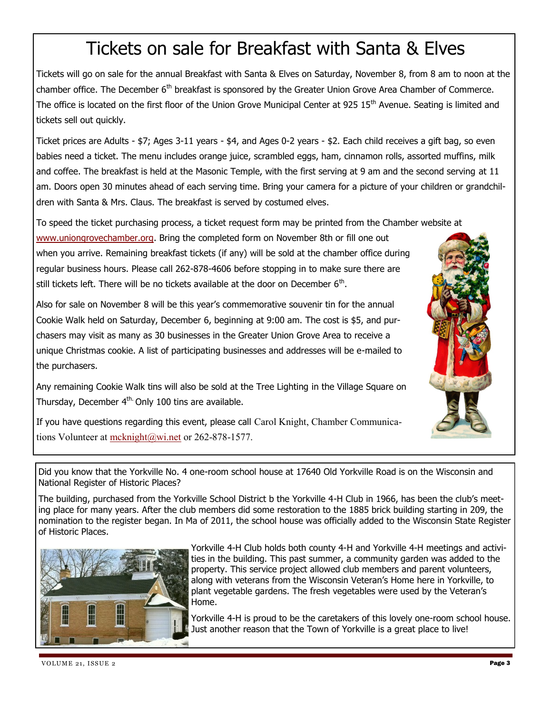## Tickets on sale for Breakfast with Santa & Elves

Tickets will go on sale for the annual Breakfast with Santa & Elves on Saturday, November 8, from 8 am to noon at the chamber office. The December 6<sup>th</sup> breakfast is sponsored by the Greater Union Grove Area Chamber of Commerce. The office is located on the first floor of the Union Grove Municipal Center at 925 15<sup>th</sup> Avenue. Seating is limited and tickets sell out quickly.

Ticket prices are Adults - \$7; Ages 3-11 years - \$4, and Ages 0-2 years - \$2. Each child receives a gift bag, so even babies need a ticket. The menu includes orange juice, scrambled eggs, ham, cinnamon rolls, assorted muffins, milk and coffee. The breakfast is held at the Masonic Temple, with the first serving at 9 am and the second serving at 11 am. Doors open 30 minutes ahead of each serving time. Bring your camera for a picture of your children or grandchildren with Santa & Mrs. Claus. The breakfast is served by costumed elves.

To speed the ticket purchasing process, a ticket request form may be printed from the Chamber website at

[www.uniongrovechamber.org.](http://www.uniongrovechamber.org) Bring the completed form on November 8th or fill one out when you arrive. Remaining breakfast tickets (if any) will be sold at the chamber office during regular business hours. Please call 262-878-4606 before stopping in to make sure there are still tickets left. There will be no tickets available at the door on December 6<sup>th</sup>.

Also for sale on November 8 will be this year's commemorative souvenir tin for the annual Cookie Walk held on Saturday, December 6, beginning at 9:00 am. The cost is \$5, and purchasers may visit as many as 30 businesses in the Greater Union Grove Area to receive a unique Christmas cookie. A list of participating businesses and addresses will be e-mailed to the purchasers.

Any remaining Cookie Walk tins will also be sold at the Tree Lighting in the Village Square on Thursday, December 4<sup>th.</sup> Only 100 tins are available.

If you have questions regarding this event, please call Carol Knight, Chamber Communications Volunteer at [mcknight@wi.net](mailto:mcknight@wi.net) or 262-878-1577.

Did you know that the Yorkville No. 4 one-room school house at 17640 Old Yorkville Road is on the Wisconsin and National Register of Historic Places?

The building, purchased from the Yorkville School District b the Yorkville 4-H Club in 1966, has been the club's meeting place for many years. After the club members did some restoration to the 1885 brick building starting in 209, the nomination to the register began. In Ma of 2011, the school house was officially added to the Wisconsin State Register of Historic Places.



Yorkville 4-H Club holds both county 4-H and Yorkville 4-H meetings and activities in the building. This past summer, a community garden was added to the property. This service project allowed club members and parent volunteers, along with veterans from the Wisconsin Veteran's Home here in Yorkville, to plant vegetable gardens. The fresh vegetables were used by the Veteran's Home.

Yorkville 4-H is proud to be the caretakers of this lovely one-room school house. Just another reason that the Town of Yorkville is a great place to live!

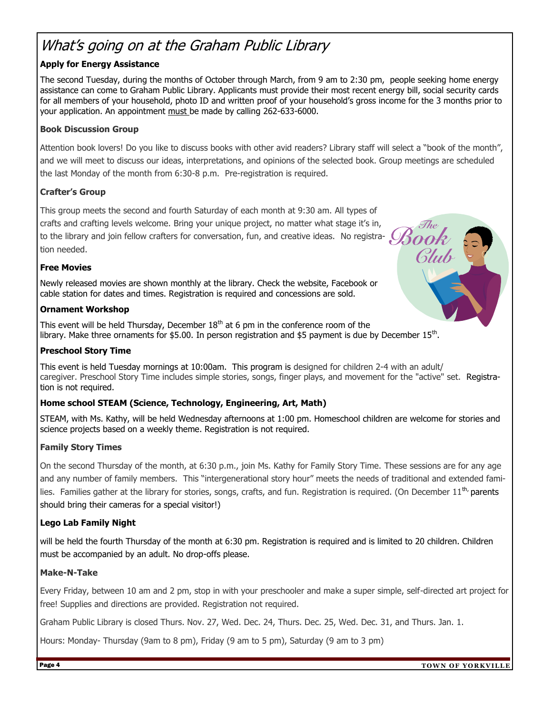### What's going on at the Graham Public Library

#### **Apply for Energy Assistance**

The second Tuesday, during the months of October through March, from 9 am to 2:30 pm, people seeking home energy assistance can come to Graham Public Library. Applicants must provide their most recent energy bill, social security cards for all members of your household, photo ID and written proof of your household's gross income for the 3 months prior to your application. An appointment must be made by calling 262-633-6000.

#### **Book Discussion Group**

Attention book lovers! Do you like to discuss books with other avid readers? Library staff will select a "book of the month", and we will meet to discuss our ideas, interpretations, and opinions of the selected book. Group meetings are scheduled the last Monday of the month from 6:30-8 p.m. Pre-registration is required.

#### **Crafter's Group**

This group meets the second and fourth Saturday of each month at 9:30 am. All types of crafts and crafting levels welcome. Bring your unique project, no matter what stage it's in, to the library and join fellow crafters for conversation, fun, and creative ideas. No registra-  $O$ tion needed.

#### **Free Movies**

Newly released movies are shown monthly at the library. Check the website, Facebook or cable station for dates and times. Registration is required and concessions are sold.

#### **Ornament Workshop**

This event will be held Thursday, December  $18<sup>th</sup>$  at 6 pm in the conference room of the library. Make three ornaments for \$5.00. In person registration and \$5 payment is due by December  $15<sup>th</sup>$ .

#### **Preschool Story Time**

This event is held Tuesday mornings at 10:00am. This program is designed for children 2-4 with an adult/ caregiver. Preschool Story Time includes simple stories, songs, finger plays, and movement for the "active" set. Registration is not required.

#### **Home school STEAM (Science, Technology, Engineering, Art, Math)**

STEAM, with Ms. Kathy, will be held Wednesday afternoons at 1:00 pm. Homeschool children are welcome for stories and science projects based on a weekly theme. Registration is not required.

#### **Family Story Times**

On the second Thursday of the month, at 6:30 p.m., join Ms. Kathy for Family Story Time. These sessions are for any age and any number of family members. This "intergenerational story hour" meets the needs of traditional and extended families. Families gather at the library for stories, songs, crafts, and fun. Registration is required. (On December 11<sup>th,</sup> parents should bring their cameras for a special visitor!)

#### **Lego Lab Family Night**

will be held the fourth Thursday of the month at 6:30 pm. Registration is required and is limited to 20 children. Children must be accompanied by an adult. No drop-offs please.

#### **Make-N-Take**

Every Friday, between 10 am and 2 pm, stop in with your preschooler and make a super simple, self-directed art project for free! Supplies and directions are provided. Registration not required.

Graham Public Library is closed Thurs. Nov. 27, Wed. Dec. 24, Thurs. Dec. 25, Wed. Dec. 31, and Thurs. Jan. 1.

Hours: Monday- Thursday (9am to 8 pm), Friday (9 am to 5 pm), Saturday (9 am to 3 pm)

Glub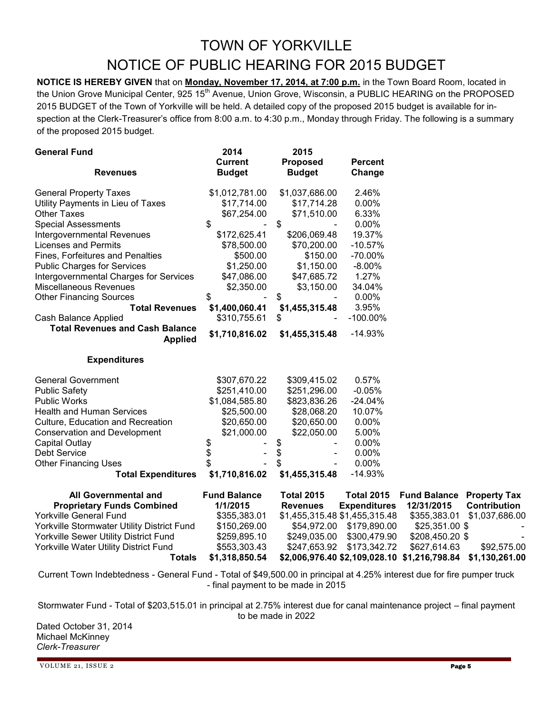### TOWN OF YORKVILLE NOTICE OF PUBLIC HEARING FOR 2015 BUDGET

**NOTICE IS HEREBY GIVEN** that on **Monday, November 17, 2014, at 7:00 p.m.** in the Town Board Room, located in the Union Grove Municipal Center, 925 15<sup>th</sup> Avenue, Union Grove, Wisconsin, a PUBLIC HEARING on the PROPOSED 2015 BUDGET of the Town of Yorkville will be held. A detailed copy of the proposed 2015 budget is available for inspection at the Clerk-Treasurer's office from 8:00 a.m. to 4:30 p.m., Monday through Friday. The following is a summary of the proposed 2015 budget.

| <b>General Fund</b>                                      | 2014                | 2015              |                               |                                              |                     |
|----------------------------------------------------------|---------------------|-------------------|-------------------------------|----------------------------------------------|---------------------|
|                                                          | <b>Current</b>      | <b>Proposed</b>   | <b>Percent</b>                |                                              |                     |
| <b>Revenues</b>                                          | <b>Budget</b>       | <b>Budget</b>     | Change                        |                                              |                     |
| <b>General Property Taxes</b>                            | \$1,012,781.00      | \$1,037,686.00    | 2.46%                         |                                              |                     |
| Utility Payments in Lieu of Taxes                        | \$17,714.00         | \$17,714.28       | 0.00%                         |                                              |                     |
| <b>Other Taxes</b>                                       | \$67,254.00         | \$71,510.00       | 6.33%                         |                                              |                     |
| <b>Special Assessments</b>                               | \$                  | \$                | 0.00%                         |                                              |                     |
| Intergovernmental Revenues                               | \$172,625.41        | \$206,069.48      | 19.37%                        |                                              |                     |
| <b>Licenses and Permits</b>                              | \$78,500.00         | \$70,200.00       | $-10.57%$                     |                                              |                     |
| Fines, Forfeitures and Penalties                         | \$500.00            | \$150.00          | $-70.00\%$                    |                                              |                     |
| <b>Public Charges for Services</b>                       | \$1,250.00          | \$1,150.00        | $-8.00\%$                     |                                              |                     |
| Intergovernmental Charges for Services                   | \$47,086.00         | \$47,685.72       | 1.27%                         |                                              |                     |
| Miscellaneous Revenues                                   | \$2,350.00          | \$3,150.00        | 34.04%                        |                                              |                     |
| <b>Other Financing Sources</b>                           | \$                  | \$                | 0.00%                         |                                              |                     |
| <b>Total Revenues</b>                                    | \$1,400,060.41      | \$1,455,315.48    | 3.95%                         |                                              |                     |
| Cash Balance Applied                                     | \$310,755.61        | \$                | $-100.00\%$                   |                                              |                     |
| <b>Total Revenues and Cash Balance</b><br><b>Applied</b> | \$1,710,816.02      | \$1,455,315.48    | $-14.93%$                     |                                              |                     |
|                                                          |                     |                   |                               |                                              |                     |
| <b>Expenditures</b>                                      |                     |                   |                               |                                              |                     |
| <b>General Government</b>                                | \$307,670.22        | \$309,415.02      | 0.57%                         |                                              |                     |
| <b>Public Safety</b>                                     | \$251,410.00        | \$251,296.00      | $-0.05%$                      |                                              |                     |
| <b>Public Works</b>                                      | \$1,084,585.80      | \$823,836.26      | $-24.04%$                     |                                              |                     |
| <b>Health and Human Services</b>                         | \$25,500.00         | \$28,068.20       | 10.07%                        |                                              |                     |
| Culture, Education and Recreation                        | \$20,650.00         | \$20,650.00       | 0.00%                         |                                              |                     |
| <b>Conservation and Development</b>                      | \$21,000.00         | \$22,050.00       | 5.00%                         |                                              |                     |
| Capital Outlay                                           | \$                  | \$                | 0.00%                         |                                              |                     |
| <b>Debt Service</b>                                      | \$                  | \$                | 0.00%                         |                                              |                     |
| <b>Other Financing Uses</b>                              | \$                  | \$                | 0.00%                         |                                              |                     |
| <b>Total Expenditures</b>                                | \$1,710,816.02      | \$1,455,315.48    | $-14.93%$                     |                                              |                     |
| All Governmental and                                     | <b>Fund Balance</b> | <b>Total 2015</b> | <b>Total 2015</b>             | <b>Fund Balance</b>                          | <b>Property Tax</b> |
| <b>Proprietary Funds Combined</b>                        | 1/1/2015            | <b>Revenues</b>   | <b>Expenditures</b>           | 12/31/2015                                   | <b>Contribution</b> |
| <b>Yorkville General Fund</b>                            | \$355,383.01        |                   | \$1,455,315.48 \$1,455,315.48 | \$355,383.01                                 | \$1,037,686.00      |
| Yorkville Stormwater Utility District Fund               | \$150,269.00        | \$54,972.00       | \$179,890.00                  | \$25,351.00 \$                               |                     |
| Yorkville Sewer Utility District Fund                    | \$259,895.10        | \$249,035.00      | \$300,479.90                  | \$208,450.20 \$                              |                     |
| Yorkville Water Utility District Fund                    | \$553,303.43        | \$247,653.92      | \$173,342.72                  | \$627,614.63                                 | \$92,575.00         |
| <b>Totals</b>                                            | \$1,318,850.54      |                   |                               | \$2,006,976.40 \$2,109,028.10 \$1,216,798.84 | \$1,130,261.00      |

Current Town Indebtedness - General Fund - Total of \$49,500.00 in principal at 4.25% interest due for fire pumper truck - final payment to be made in 2015

Stormwater Fund - Total of \$203,515.01 in principal at 2.75% interest due for canal maintenance project – final payment to be made in 2022

Dated October 31, 2014 Michael McKinney *Clerk-Treasurer*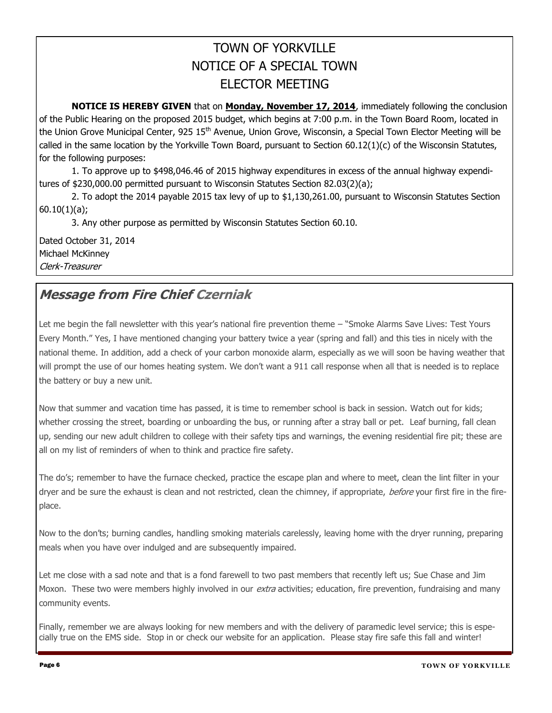### TOWN OF YORKVILLE NOTICE OF A SPECIAL TOWN ELECTOR MEETING

**NOTICE IS HEREBY GIVEN** that on **Monday, November 17, 2014**, immediately following the conclusion of the Public Hearing on the proposed 2015 budget, which begins at 7:00 p.m. in the Town Board Room, located in the Union Grove Municipal Center, 925 15<sup>th</sup> Avenue, Union Grove, Wisconsin, a Special Town Elector Meeting will be called in the same location by the Yorkville Town Board, pursuant to Section 60.12(1)(c) of the Wisconsin Statutes, for the following purposes:

1. To approve up to \$498,046.46 of 2015 highway expenditures in excess of the annual highway expenditures of \$230,000.00 permitted pursuant to Wisconsin Statutes Section 82.03(2)(a);

2. To adopt the 2014 payable 2015 tax levy of up to \$1,130,261.00, pursuant to Wisconsin Statutes Section 60.10(1)(a);

3. Any other purpose as permitted by Wisconsin Statutes Section 60.10.

Dated October 31, 2014 Michael McKinney Clerk-Treasurer

### **Message from Fire Chief Czerniak**

Let me begin the fall newsletter with this year's national fire prevention theme – "Smoke Alarms Save Lives: Test Yours Every Month." Yes, I have mentioned changing your battery twice a year (spring and fall) and this ties in nicely with the national theme. In addition, add a check of your carbon monoxide alarm, especially as we will soon be having weather that will prompt the use of our homes heating system. We don't want a 911 call response when all that is needed is to replace the battery or buy a new unit.

Now that summer and vacation time has passed, it is time to remember school is back in session. Watch out for kids; whether crossing the street, boarding or unboarding the bus, or running after a stray ball or pet. Leaf burning, fall clean up, sending our new adult children to college with their safety tips and warnings, the evening residential fire pit; these are all on my list of reminders of when to think and practice fire safety.

The do's; remember to have the furnace checked, practice the escape plan and where to meet, clean the lint filter in your dryer and be sure the exhaust is clean and not restricted, clean the chimney, if appropriate, *before* your first fire in the fireplace.

Now to the don'ts; burning candles, handling smoking materials carelessly, leaving home with the dryer running, preparing meals when you have over indulged and are subsequently impaired.

Let me close with a sad note and that is a fond farewell to two past members that recently left us; Sue Chase and Jim Moxon. These two were members highly involved in our *extra* activities; education, fire prevention, fundraising and many community events.

Finally, remember we are always looking for new members and with the delivery of paramedic level service; this is especially true on the EMS side. Stop in or check our website for an application. Please stay fire safe this fall and winter!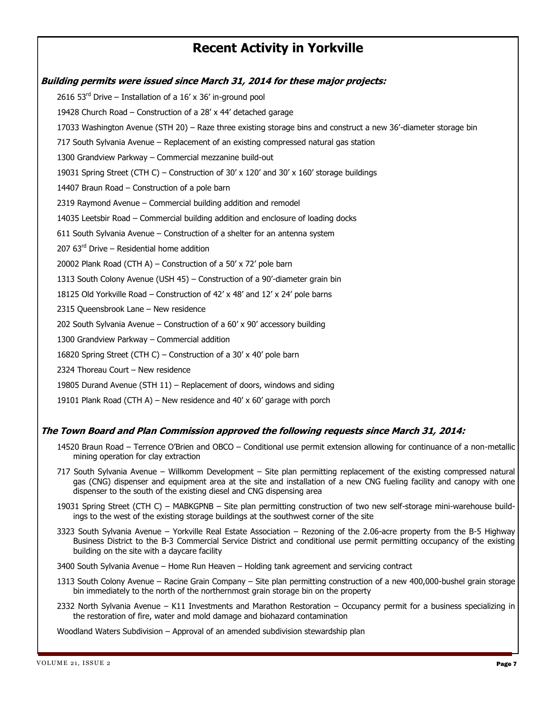### **Recent Activity in Yorkville**

**Building permits were issued since March 31, 2014 for these major projects:** 2616 53 $^{rd}$  Drive – Installation of a 16' x 36' in-ground pool 19428 Church Road – Construction of a 28' x 44' detached garage 17033 Washington Avenue (STH 20) – Raze three existing storage bins and construct a new 36'-diameter storage bin 717 South Sylvania Avenue – Replacement of an existing compressed natural gas station 1300 Grandview Parkway – Commercial mezzanine build-out 19031 Spring Street (CTH C) – Construction of 30' x 120' and 30' x 160' storage buildings 14407 Braun Road – Construction of a pole barn 2319 Raymond Avenue – Commercial building addition and remodel 14035 Leetsbir Road – Commercial building addition and enclosure of loading docks 611 South Sylvania Avenue – Construction of a shelter for an antenna system 207  $63<sup>rd</sup>$  Drive – Residential home addition 20002 Plank Road (CTH A) – Construction of a 50' x 72' pole barn 1313 South Colony Avenue (USH 45) – Construction of a 90'-diameter grain bin 18125 Old Yorkville Road – Construction of 42' x 48' and 12' x 24' pole barns 2315 Queensbrook Lane – New residence 202 South Sylvania Avenue – Construction of a 60' x 90' accessory building 1300 Grandview Parkway – Commercial addition 16820 Spring Street (CTH C) – Construction of a 30' x 40' pole barn 2324 Thoreau Court – New residence 19805 Durand Avenue (STH 11) – Replacement of doors, windows and siding 19101 Plank Road (CTH A) – New residence and 40' x 60' garage with porch

#### **The Town Board and Plan Commission approved the following requests since March 31, 2014:**

- 14520 Braun Road Terrence O'Brien and OBCO Conditional use permit extension allowing for continuance of a non-metallic mining operation for clay extraction
- 717 South Sylvania Avenue Willkomm Development Site plan permitting replacement of the existing compressed natural gas (CNG) dispenser and equipment area at the site and installation of a new CNG fueling facility and canopy with one dispenser to the south of the existing diesel and CNG dispensing area
- 19031 Spring Street (CTH C) MABKGPNB Site plan permitting construction of two new self-storage mini-warehouse buildings to the west of the existing storage buildings at the southwest corner of the site
- 3323 South Sylvania Avenue Yorkville Real Estate Association Rezoning of the 2.06-acre property from the B-5 Highway Business District to the B-3 Commercial Service District and conditional use permit permitting occupancy of the existing building on the site with a daycare facility
- 3400 South Sylvania Avenue Home Run Heaven Holding tank agreement and servicing contract
- 1313 South Colony Avenue Racine Grain Company Site plan permitting construction of a new 400,000-bushel grain storage bin immediately to the north of the northernmost grain storage bin on the property
- 2332 North Sylvania Avenue K11 Investments and Marathon Restoration Occupancy permit for a business specializing in the restoration of fire, water and mold damage and biohazard contamination

Woodland Waters Subdivision – Approval of an amended subdivision stewardship plan